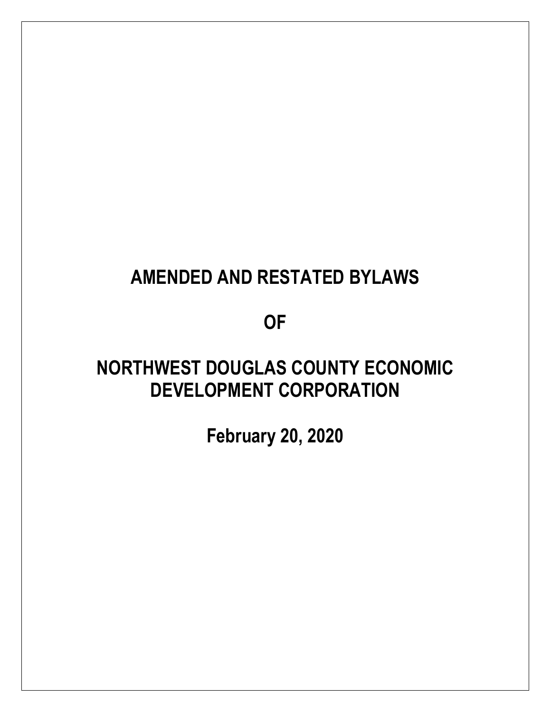# **AMENDED AND RESTATED BYLAWS**

## **OF**

## **NORTHWEST DOUGLAS COUNTY ECONOMIC DEVELOPMENT CORPORATION**

**February 20, 2020**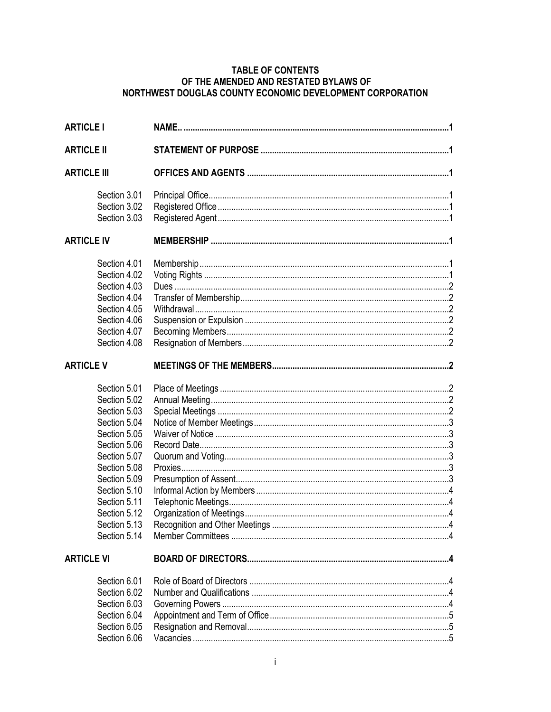## TABLE OF CONTENTS OF THE AMENDED AND RESTATED BYLAWS OF<br>NORTHWEST DOUGLAS COUNTY ECONOMIC DEVELOPMENT CORPORATION

| <b>ARTICLE I</b>                                                                                                                                                                                                             |  |
|------------------------------------------------------------------------------------------------------------------------------------------------------------------------------------------------------------------------------|--|
| <b>ARTICLE II</b>                                                                                                                                                                                                            |  |
| <b>ARTICLE III</b>                                                                                                                                                                                                           |  |
| Section 3.01<br>Section 3.02<br>Section 3.03                                                                                                                                                                                 |  |
| <b>ARTICLE IV</b>                                                                                                                                                                                                            |  |
| Section 4.01<br>Section 4.02<br>Section 4.03<br>Section 4.04<br>Section 4.05<br>Section 4.06<br>Section 4.07<br>Section 4.08                                                                                                 |  |
| <b>ARTICLE V</b>                                                                                                                                                                                                             |  |
| Section 5.01<br>Section 5.02<br>Section 5.03<br>Section 5.04<br>Section 5.05<br>Section 5.06<br>Section 5.07<br>Section 5.08<br>Section 5.09<br>Section 5.10<br>Section 5.11<br>Section 5.12<br>Section 5.13<br>Section 5.14 |  |
| <b>ARTICLE VI</b>                                                                                                                                                                                                            |  |
| Section 6.01<br>Section 6.02<br>Section 6.03<br>Section 6.04<br>Section 6.05<br>Section 6.06                                                                                                                                 |  |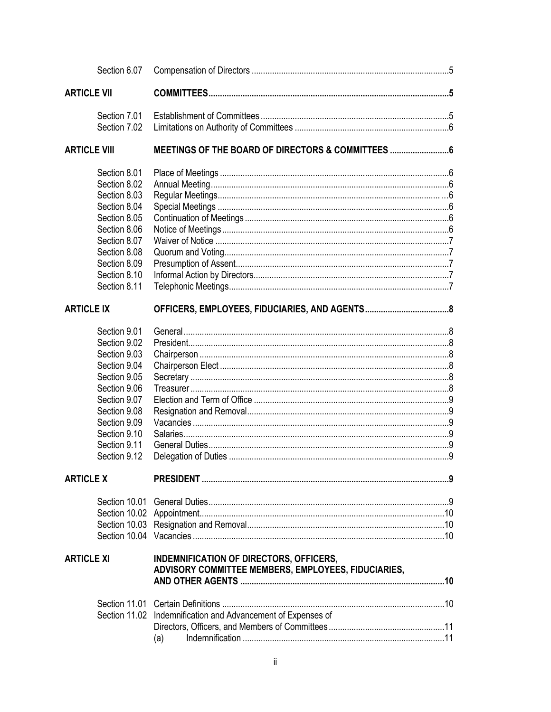|                     | Section 6.07                 |                                                                                                |  |
|---------------------|------------------------------|------------------------------------------------------------------------------------------------|--|
| <b>ARTICLE VII</b>  |                              |                                                                                                |  |
|                     | Section 7.01<br>Section 7.02 |                                                                                                |  |
| <b>ARTICLE VIII</b> |                              | MEETINGS OF THE BOARD OF DIRECTORS & COMMITTEES                                                |  |
|                     | Section 8.01                 |                                                                                                |  |
|                     | Section 8.02                 |                                                                                                |  |
|                     | Section 8.03                 |                                                                                                |  |
|                     | Section 8.04                 |                                                                                                |  |
|                     | Section 8.05                 |                                                                                                |  |
|                     | Section 8.06                 |                                                                                                |  |
|                     | Section 8.07                 |                                                                                                |  |
|                     | Section 8.08                 |                                                                                                |  |
|                     | Section 8.09                 |                                                                                                |  |
|                     | Section 8.10                 |                                                                                                |  |
|                     | Section 8.11                 |                                                                                                |  |
| <b>ARTICLE IX</b>   |                              |                                                                                                |  |
|                     | Section 9.01                 |                                                                                                |  |
|                     | Section 9.02                 |                                                                                                |  |
|                     | Section 9.03                 |                                                                                                |  |
|                     | Section 9.04                 |                                                                                                |  |
|                     | Section 9.05                 |                                                                                                |  |
|                     | Section 9.06                 |                                                                                                |  |
|                     | Section 9.07                 |                                                                                                |  |
|                     | Section 9.08                 |                                                                                                |  |
|                     | Section 9.09                 |                                                                                                |  |
|                     | Section 9.10                 |                                                                                                |  |
|                     | Section 9.11                 |                                                                                                |  |
|                     | Section 9.12                 |                                                                                                |  |
| <b>ARTICLE X</b>    |                              |                                                                                                |  |
|                     |                              |                                                                                                |  |
|                     |                              |                                                                                                |  |
|                     |                              |                                                                                                |  |
|                     |                              |                                                                                                |  |
| <b>ARTICLE XI</b>   |                              | INDEMNIFICATION OF DIRECTORS, OFFICERS,<br>ADVISORY COMMITTEE MEMBERS, EMPLOYEES, FIDUCIARIES, |  |
|                     |                              |                                                                                                |  |
|                     |                              | Section 11.02 Indemnification and Advancement of Expenses of                                   |  |
|                     |                              |                                                                                                |  |
|                     |                              |                                                                                                |  |
|                     |                              | (a)                                                                                            |  |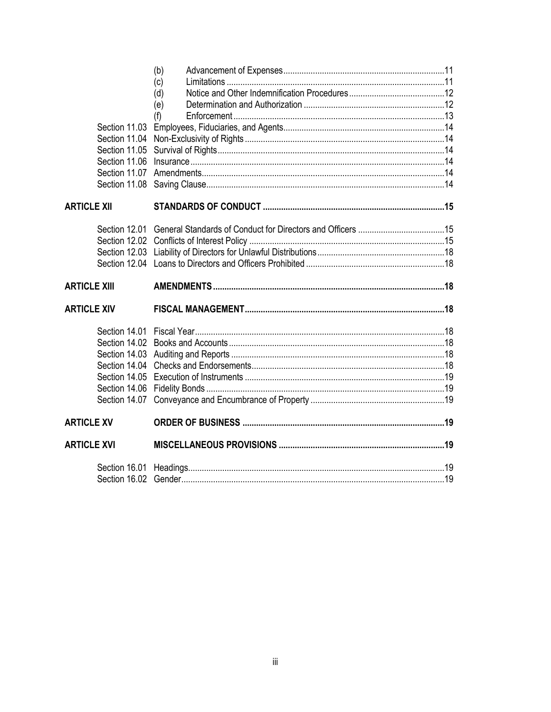| Section 11.03<br>Section 11.04<br>Section 11.05<br>Section 11.06<br>Section 11.07<br>Section 11.08 | (b)<br>(c)<br>(d)<br>(e)<br>(f) |  |
|----------------------------------------------------------------------------------------------------|---------------------------------|--|
| <b>ARTICLE XII</b>                                                                                 |                                 |  |
| <b>ARTICLE XIII</b>                                                                                |                                 |  |
|                                                                                                    |                                 |  |
| <b>ARTICLE XIV</b>                                                                                 |                                 |  |
| Section 14.01                                                                                      |                                 |  |
| <b>ARTICLE XV</b>                                                                                  |                                 |  |
| <b>ARTICLE XVI</b>                                                                                 |                                 |  |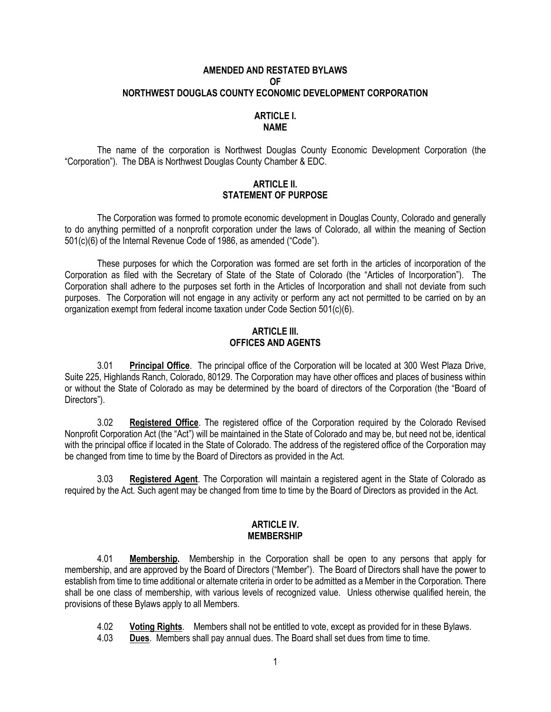#### **AMENDED AND RESTATED BYLAWS OF NORTHWEST DOUGLAS COUNTY ECONOMIC DEVELOPMENT CORPORATION**

#### **ARTICLE I. NAME**

The name of the corporation is Northwest Douglas County Economic Development Corporation (the "Corporation"). The DBA is Northwest Douglas County Chamber & EDC.

#### **ARTICLE II. STATEMENT OF PURPOSE**

The Corporation was formed to promote economic development in Douglas County, Colorado and generally to do anything permitted of a nonprofit corporation under the laws of Colorado, all within the meaning of Section 501(c)(6) of the Internal Revenue Code of 1986, as amended ("Code").

These purposes for which the Corporation was formed are set forth in the articles of incorporation of the Corporation as filed with the Secretary of State of the State of Colorado (the "Articles of Incorporation"). The Corporation shall adhere to the purposes set forth in the Articles of Incorporation and shall not deviate from such purposes. The Corporation will not engage in any activity or perform any act not permitted to be carried on by an organization exempt from federal income taxation under Code Section 501(c)(6).

#### **ARTICLE III. OFFICES AND AGENTS**

3.01 **Principal Office**. The principal office of the Corporation will be located at 300 West Plaza Drive, Suite 225, Highlands Ranch, Colorado, 80129. The Corporation may have other offices and places of business within or without the State of Colorado as may be determined by the board of directors of the Corporation (the "Board of Directors").

3.02 **Registered Office**. The registered office of the Corporation required by the Colorado Revised Nonprofit Corporation Act (the "Act") will be maintained in the State of Colorado and may be, but need not be, identical with the principal office if located in the State of Colorado. The address of the registered office of the Corporation may be changed from time to time by the Board of Directors as provided in the Act.

3.03 **Registered Agent**. The Corporation will maintain a registered agent in the State of Colorado as required by the Act. Such agent may be changed from time to time by the Board of Directors as provided in the Act.

#### **ARTICLE IV. MEMBERSHIP**

4.01 **Membership.** Membership in the Corporation shall be open to any persons that apply for membership, and are approved by the Board of Directors ("Member"). The Board of Directors shall have the power to establish from time to time additional or alternate criteria in order to be admitted as a Member in the Corporation. There shall be one class of membership, with various levels of recognized value. Unless otherwise qualified herein, the provisions of these Bylaws apply to all Members.

4.02 **Voting Rights**. Members shall not be entitled to vote, except as provided for in these Bylaws.

**Dues**. Members shall pay annual dues. The Board shall set dues from time to time.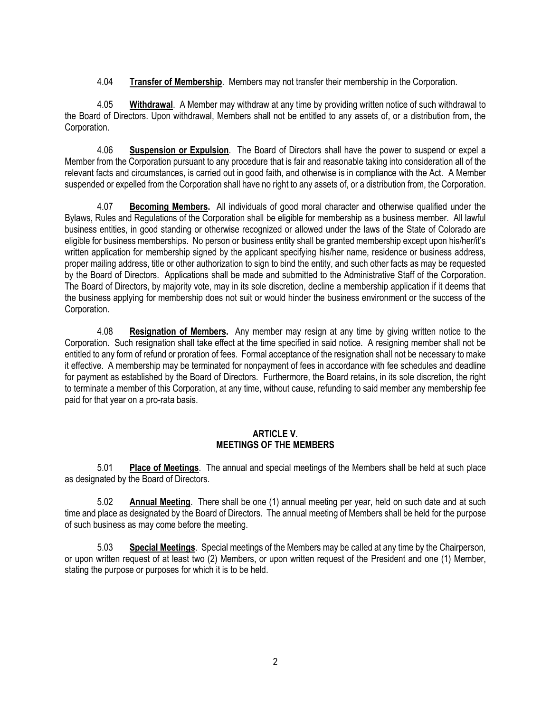4.04 **Transfer of Membership**. Members may not transfer their membership in the Corporation.

4.05 **Withdrawal**. A Member may withdraw at any time by providing written notice of such withdrawal to the Board of Directors. Upon withdrawal, Members shall not be entitled to any assets of, or a distribution from, the Corporation.

4.06 **Suspension or Expulsion**. The Board of Directors shall have the power to suspend or expel a Member from the Corporation pursuant to any procedure that is fair and reasonable taking into consideration all of the relevant facts and circumstances, is carried out in good faith, and otherwise is in compliance with the Act. A Member suspended or expelled from the Corporation shall have no right to any assets of, or a distribution from, the Corporation.

4.07 **Becoming Members.** All individuals of good moral character and otherwise qualified under the Bylaws, Rules and Regulations of the Corporation shall be eligible for membership as a business member. All lawful business entities, in good standing or otherwise recognized or allowed under the laws of the State of Colorado are eligible for business memberships. No person or business entity shall be granted membership except upon his/her/it's written application for membership signed by the applicant specifying his/her name, residence or business address, proper mailing address, title or other authorization to sign to bind the entity, and such other facts as may be requested by the Board of Directors. Applications shall be made and submitted to the Administrative Staff of the Corporation. The Board of Directors, by majority vote, may in its sole discretion, decline a membership application if it deems that the business applying for membership does not suit or would hinder the business environment or the success of the Corporation.

4.08 **Resignation of Members.** Any member may resign at any time by giving written notice to the Corporation. Such resignation shall take effect at the time specified in said notice. A resigning member shall not be entitled to any form of refund or proration of fees. Formal acceptance of the resignation shall not be necessary to make it effective. A membership may be terminated for nonpayment of fees in accordance with fee schedules and deadline for payment as established by the Board of Directors. Furthermore, the Board retains, in its sole discretion, the right to terminate a member of this Corporation, at any time, without cause, refunding to said member any membership fee paid for that year on a pro-rata basis.

#### **ARTICLE V. MEETINGS OF THE MEMBERS**

5.01 **Place of Meetings**. The annual and special meetings of the Members shall be held at such place as designated by the Board of Directors.

5.02 **Annual Meeting**. There shall be one (1) annual meeting per year, held on such date and at such time and place as designated by the Board of Directors. The annual meeting of Members shall be held for the purpose of such business as may come before the meeting.

5.03 **Special Meetings**. Special meetings of the Members may be called at any time by the Chairperson, or upon written request of at least two (2) Members, or upon written request of the President and one (1) Member, stating the purpose or purposes for which it is to be held.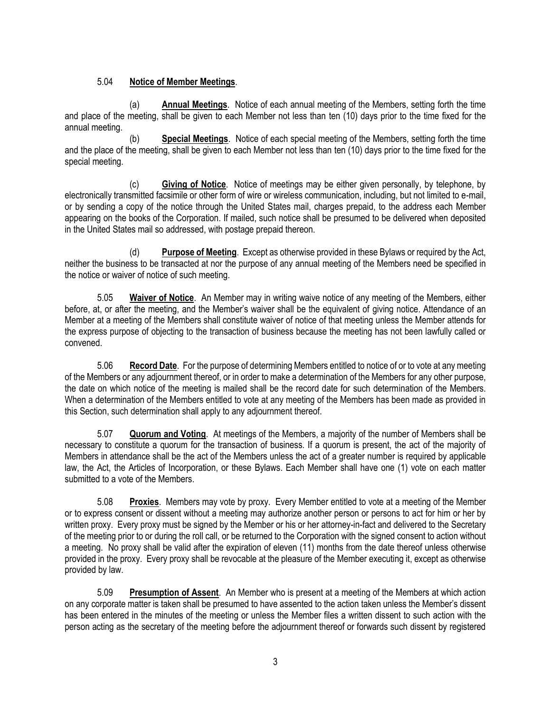## 5.04 **Notice of Member Meetings**.

(a) **Annual Meetings**. Notice of each annual meeting of the Members, setting forth the time and place of the meeting, shall be given to each Member not less than ten (10) days prior to the time fixed for the annual meeting.

(b) **Special Meetings**. Notice of each special meeting of the Members, setting forth the time and the place of the meeting, shall be given to each Member not less than ten (10) days prior to the time fixed for the special meeting.

(c) **Giving of Notice**. Notice of meetings may be either given personally, by telephone, by electronically transmitted facsimile or other form of wire or wireless communication, including, but not limited to e-mail, or by sending a copy of the notice through the United States mail, charges prepaid, to the address each Member appearing on the books of the Corporation. If mailed, such notice shall be presumed to be delivered when deposited in the United States mail so addressed, with postage prepaid thereon.

(d) **Purpose of Meeting**. Except as otherwise provided in these Bylaws or required by the Act, neither the business to be transacted at nor the purpose of any annual meeting of the Members need be specified in the notice or waiver of notice of such meeting.

5.05 **Waiver of Notice**. An Member may in writing waive notice of any meeting of the Members, either before, at, or after the meeting, and the Member's waiver shall be the equivalent of giving notice. Attendance of an Member at a meeting of the Members shall constitute waiver of notice of that meeting unless the Member attends for the express purpose of objecting to the transaction of business because the meeting has not been lawfully called or convened.

5.06 **Record Date**. For the purpose of determining Members entitled to notice of or to vote at any meeting of the Members or any adjournment thereof, or in order to make a determination of the Members for any other purpose, the date on which notice of the meeting is mailed shall be the record date for such determination of the Members. When a determination of the Members entitled to vote at any meeting of the Members has been made as provided in this Section, such determination shall apply to any adjournment thereof.

5.07 **Quorum and Voting**. At meetings of the Members, a majority of the number of Members shall be necessary to constitute a quorum for the transaction of business. If a quorum is present, the act of the majority of Members in attendance shall be the act of the Members unless the act of a greater number is required by applicable law, the Act, the Articles of Incorporation, or these Bylaws. Each Member shall have one (1) vote on each matter submitted to a vote of the Members.

5.08 **Proxies**. Members may vote by proxy. Every Member entitled to vote at a meeting of the Member or to express consent or dissent without a meeting may authorize another person or persons to act for him or her by written proxy. Every proxy must be signed by the Member or his or her attorney-in-fact and delivered to the Secretary of the meeting prior to or during the roll call, or be returned to the Corporation with the signed consent to action without a meeting. No proxy shall be valid after the expiration of eleven (11) months from the date thereof unless otherwise provided in the proxy. Every proxy shall be revocable at the pleasure of the Member executing it, except as otherwise provided by law.

5.09 **Presumption of Assent**. An Member who is present at a meeting of the Members at which action on any corporate matter is taken shall be presumed to have assented to the action taken unless the Member's dissent has been entered in the minutes of the meeting or unless the Member files a written dissent to such action with the person acting as the secretary of the meeting before the adjournment thereof or forwards such dissent by registered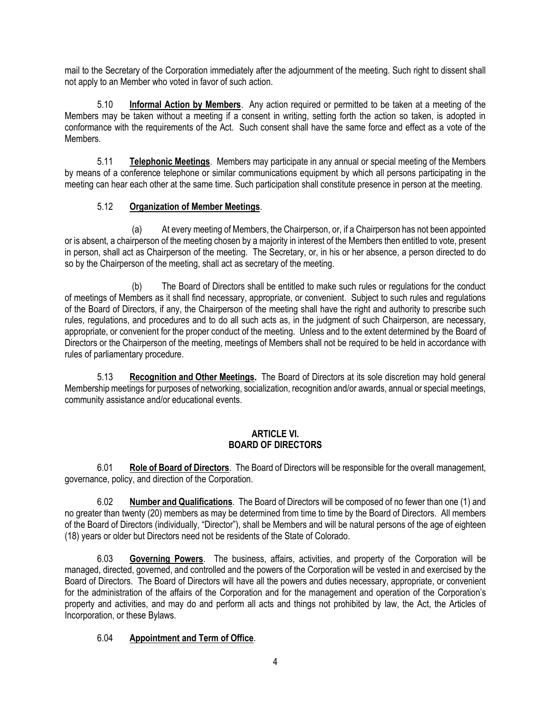mail to the Secretary of the Corporation immediately after the adjournment of the meeting. Such right to dissent shall not apply to an Member who voted in favor of such action.

5.10 **Informal Action by Members**. Any action required or permitted to be taken at a meeting of the Members may be taken without a meeting if a consent in writing, setting forth the action so taken, is adopted in conformance with the requirements of the Act. Such consent shall have the same force and effect as a vote of the Members.

5.11 **Telephonic Meetings**. Members may participate in any annual or special meeting of the Members by means of a conference telephone or similar communications equipment by which all persons participating in the meeting can hear each other at the same time. Such participation shall constitute presence in person at the meeting.

## 5.12 **Organization of Member Meetings**.

(a) At every meeting of Members, the Chairperson, or, if a Chairperson has not been appointed or is absent, a chairperson of the meeting chosen by a majority in interest of the Members then entitled to vote, present in person, shall act as Chairperson of the meeting. The Secretary, or, in his or her absence, a person directed to do so by the Chairperson of the meeting, shall act as secretary of the meeting.

(b) The Board of Directors shall be entitled to make such rules or regulations for the conduct of meetings of Members as it shall find necessary, appropriate, or convenient. Subject to such rules and regulations of the Board of Directors, if any, the Chairperson of the meeting shall have the right and authority to prescribe such rules, regulations, and procedures and to do all such acts as, in the judgment of such Chairperson, are necessary, appropriate, or convenient for the proper conduct of the meeting. Unless and to the extent determined by the Board of Directors or the Chairperson of the meeting, meetings of Members shall not be required to be held in accordance with rules of parliamentary procedure.

5.13 **Recognition and Other Meetings.** The Board of Directors at its sole discretion may hold general Membership meetings for purposes of networking, socialization, recognition and/or awards, annual or special meetings, community assistance and/or educational events.

### **ARTICLE VI. BOARD OF DIRECTORS**

6.01 **Role of Board of Directors**. The Board of Directors will be responsible for the overall management, governance, policy, and direction of the Corporation.

6.02 **Number and Qualifications**. The Board of Directors will be composed of no fewer than one (1) and no greater than twenty (20) members as may be determined from time to time by the Board of Directors. All members of the Board of Directors (individually, "Director"), shall be Members and will be natural persons of the age of eighteen (18) years or older but Directors need not be residents of the State of Colorado.

6.03 **Governing Powers**. The business, affairs, activities, and property of the Corporation will be managed, directed, governed, and controlled and the powers of the Corporation will be vested in and exercised by the Board of Directors. The Board of Directors will have all the powers and duties necessary, appropriate, or convenient for the administration of the affairs of the Corporation and for the management and operation of the Corporation's property and activities, and may do and perform all acts and things not prohibited by law, the Act, the Articles of Incorporation, or these Bylaws.

## 6.04 **Appointment and Term of Office**.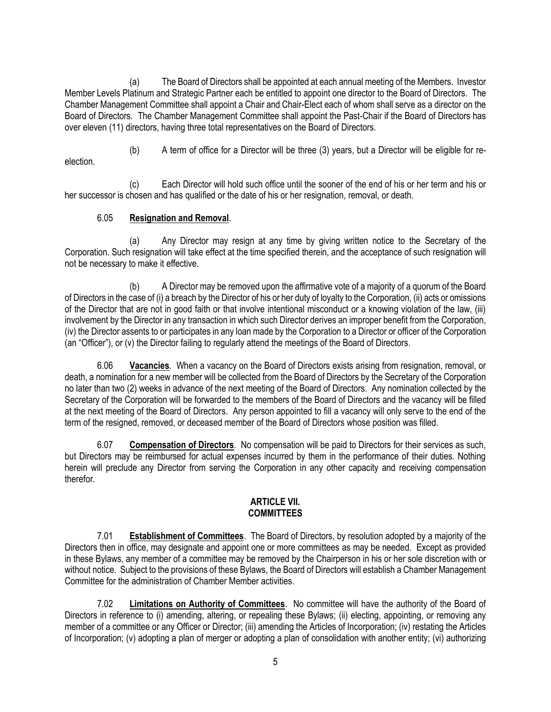(a) The Board of Directors shall be appointed at each annual meeting of the Members. Investor Member Levels Platinum and Strategic Partner each be entitled to appoint one director to the Board of Directors. The Chamber Management Committee shall appoint a Chair and Chair-Elect each of whom shall serve as a director on the Board of Directors. The Chamber Management Committee shall appoint the Past-Chair if the Board of Directors has over eleven (11) directors, having three total representatives on the Board of Directors.

(b) A term of office for a Director will be three (3) years, but a Director will be eligible for reelection.

(c) Each Director will hold such office until the sooner of the end of his or her term and his or her successor is chosen and has qualified or the date of his or her resignation, removal, or death.

## 6.05 **Resignation and Removal**.

(a) Any Director may resign at any time by giving written notice to the Secretary of the Corporation. Such resignation will take effect at the time specified therein, and the acceptance of such resignation will not be necessary to make it effective.

(b) A Director may be removed upon the affirmative vote of a majority of a quorum of the Board of Directors in the case of (i) a breach by the Director of his or her duty of loyalty to the Corporation, (ii) acts or omissions of the Director that are not in good faith or that involve intentional misconduct or a knowing violation of the law, (iii) involvement by the Director in any transaction in which such Director derives an improper benefit from the Corporation, (iv) the Director assents to or participates in any loan made by the Corporation to a Director or officer of the Corporation (an "Officer"), or (v) the Director failing to regularly attend the meetings of the Board of Directors.

6.06 **Vacancies**. When a vacancy on the Board of Directors exists arising from resignation, removal, or death, a nomination for a new member will be collected from the Board of Directors by the Secretary of the Corporation no later than two (2) weeks in advance of the next meeting of the Board of Directors. Any nomination collected by the Secretary of the Corporation will be forwarded to the members of the Board of Directors and the vacancy will be filled at the next meeting of the Board of Directors. Any person appointed to fill a vacancy will only serve to the end of the term of the resigned, removed, or deceased member of the Board of Directors whose position was filled.

6.07 **Compensation of Directors**. No compensation will be paid to Directors for their services as such, but Directors may be reimbursed for actual expenses incurred by them in the performance of their duties. Nothing herein will preclude any Director from serving the Corporation in any other capacity and receiving compensation therefor.

### **ARTICLE VII. COMMITTEES**

7.01 **Establishment of Committees**. The Board of Directors, by resolution adopted by a majority of the Directors then in office, may designate and appoint one or more committees as may be needed. Except as provided in these Bylaws, any member of a committee may be removed by the Chairperson in his or her sole discretion with or without notice. Subject to the provisions of these Bylaws, the Board of Directors will establish a Chamber Management Committee for the administration of Chamber Member activities.

7.02 **Limitations on Authority of Committees**. No committee will have the authority of the Board of Directors in reference to (i) amending, altering, or repealing these Bylaws; (ii) electing, appointing, or removing any member of a committee or any Officer or Director; (iii) amending the Articles of Incorporation; (iv) restating the Articles of Incorporation; (v) adopting a plan of merger or adopting a plan of consolidation with another entity; (vi) authorizing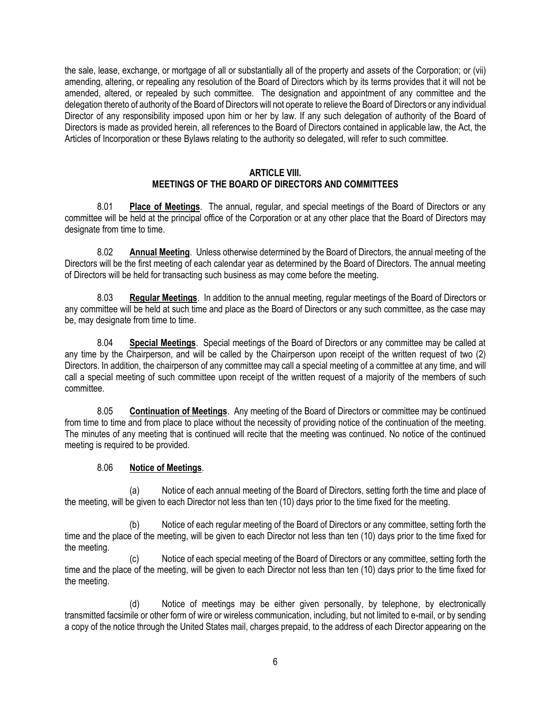the sale, lease, exchange, or mortgage of all or substantially all of the property and assets of the Corporation; or (vii) amending, altering, or repealing any resolution of the Board of Directors which by its terms provides that it will not be amended, altered, or repealed by such committee. The designation and appointment of any committee and the delegation thereto of authority of the Board of Directors will not operate to relieve the Board of Directors or any individual Director of any responsibility imposed upon him or her by law. If any such delegation of authority of the Board of Directors is made as provided herein, all references to the Board of Directors contained in applicable law, the Act, the Articles of Incorporation or these Bylaws relating to the authority so delegated, will refer to such committee.

#### **ARTICLE VIII. MEETINGS OF THE BOARD OF DIRECTORS AND COMMITTEES**

8.01 **Place of Meetings**. The annual, regular, and special meetings of the Board of Directors or any committee will be held at the principal office of the Corporation or at any other place that the Board of Directors may designate from time to time.

8.02 **Annual Meeting**. Unless otherwise determined by the Board of Directors, the annual meeting of the Directors will be the first meeting of each calendar year as determined by the Board of Directors. The annual meeting of Directors will be held for transacting such business as may come before the meeting.

8.03 **Regular Meetings**. In addition to the annual meeting, regular meetings of the Board of Directors or any committee will be held at such time and place as the Board of Directors or any such committee, as the case may be, may designate from time to time.

8.04 **Special Meetings**. Special meetings of the Board of Directors or any committee may be called at any time by the Chairperson, and will be called by the Chairperson upon receipt of the written request of two (2) Directors. In addition, the chairperson of any committee may call a special meeting of a committee at any time, and will call a special meeting of such committee upon receipt of the written request of a majority of the members of such committee.

8.05 **Continuation of Meetings**. Any meeting of the Board of Directors or committee may be continued from time to time and from place to place without the necessity of providing notice of the continuation of the meeting. The minutes of any meeting that is continued will recite that the meeting was continued. No notice of the continued meeting is required to be provided.

## 8.06 **Notice of Meetings**.

(a) Notice of each annual meeting of the Board of Directors, setting forth the time and place of the meeting, will be given to each Director not less than ten (10) days prior to the time fixed for the meeting.

(b) Notice of each regular meeting of the Board of Directors or any committee, setting forth the time and the place of the meeting, will be given to each Director not less than ten (10) days prior to the time fixed for the meeting.

(c) Notice of each special meeting of the Board of Directors or any committee, setting forth the time and the place of the meeting, will be given to each Director not less than ten (10) days prior to the time fixed for the meeting.

(d) Notice of meetings may be either given personally, by telephone, by electronically transmitted facsimile or other form of wire or wireless communication, including, but not limited to e-mail, or by sending a copy of the notice through the United States mail, charges prepaid, to the address of each Director appearing on the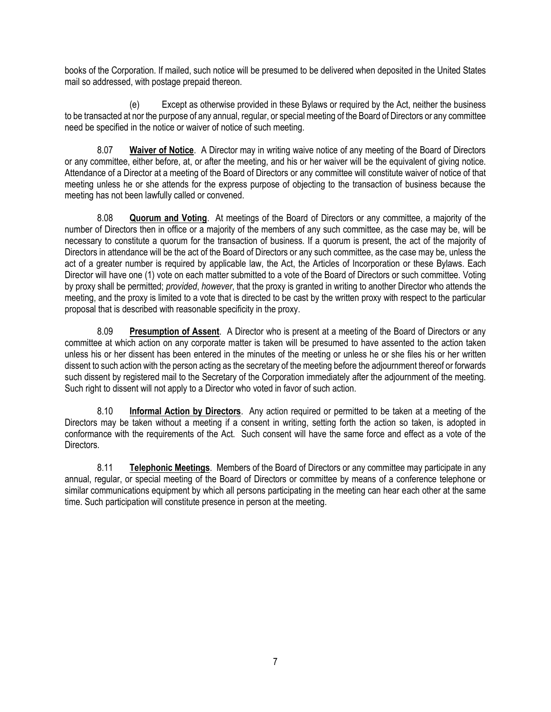books of the Corporation. If mailed, such notice will be presumed to be delivered when deposited in the United States mail so addressed, with postage prepaid thereon.

(e) Except as otherwise provided in these Bylaws or required by the Act, neither the business to be transacted at nor the purpose of any annual, regular, or special meeting of the Board of Directors or any committee need be specified in the notice or waiver of notice of such meeting.

8.07 **Waiver of Notice**. A Director may in writing waive notice of any meeting of the Board of Directors or any committee, either before, at, or after the meeting, and his or her waiver will be the equivalent of giving notice. Attendance of a Director at a meeting of the Board of Directors or any committee will constitute waiver of notice of that meeting unless he or she attends for the express purpose of objecting to the transaction of business because the meeting has not been lawfully called or convened.

8.08 **Quorum and Voting**. At meetings of the Board of Directors or any committee, a majority of the number of Directors then in office or a majority of the members of any such committee, as the case may be, will be necessary to constitute a quorum for the transaction of business. If a quorum is present, the act of the majority of Directors in attendance will be the act of the Board of Directors or any such committee, as the case may be, unless the act of a greater number is required by applicable law, the Act, the Articles of Incorporation or these Bylaws. Each Director will have one (1) vote on each matter submitted to a vote of the Board of Directors or such committee. Voting by proxy shall be permitted; *provided*, *however*, that the proxy is granted in writing to another Director who attends the meeting, and the proxy is limited to a vote that is directed to be cast by the written proxy with respect to the particular proposal that is described with reasonable specificity in the proxy.

8.09 **Presumption of Assent**. A Director who is present at a meeting of the Board of Directors or any committee at which action on any corporate matter is taken will be presumed to have assented to the action taken unless his or her dissent has been entered in the minutes of the meeting or unless he or she files his or her written dissent to such action with the person acting as the secretary of the meeting before the adjournment thereof or forwards such dissent by registered mail to the Secretary of the Corporation immediately after the adjournment of the meeting. Such right to dissent will not apply to a Director who voted in favor of such action.

8.10 **Informal Action by Directors**. Any action required or permitted to be taken at a meeting of the Directors may be taken without a meeting if a consent in writing, setting forth the action so taken, is adopted in conformance with the requirements of the Act. Such consent will have the same force and effect as a vote of the Directors.

8.11 **Telephonic Meetings**. Members of the Board of Directors or any committee may participate in any annual, regular, or special meeting of the Board of Directors or committee by means of a conference telephone or similar communications equipment by which all persons participating in the meeting can hear each other at the same time. Such participation will constitute presence in person at the meeting.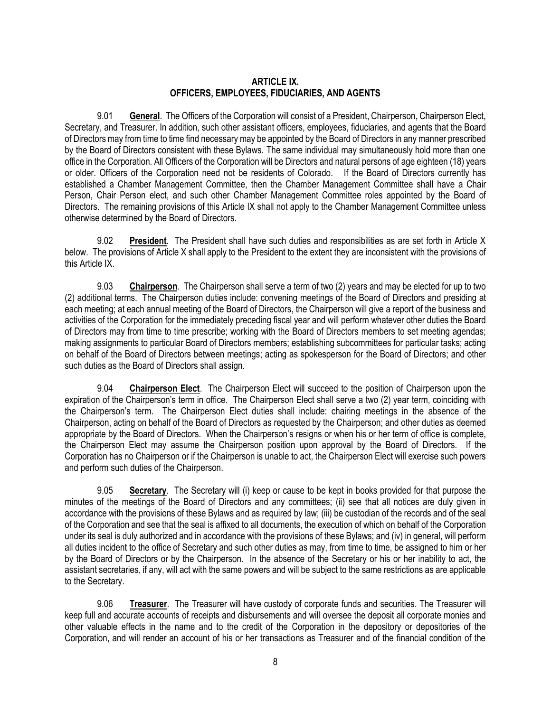#### **ARTICLE IX. OFFICERS, EMPLOYEES, FIDUCIARIES, AND AGENTS**

9.01 **General**. The Officers of the Corporation will consist of a President, Chairperson, Chairperson Elect, Secretary, and Treasurer. In addition, such other assistant officers, employees, fiduciaries, and agents that the Board of Directors may from time to time find necessary may be appointed by the Board of Directors in any manner prescribed by the Board of Directors consistent with these Bylaws. The same individual may simultaneously hold more than one office in the Corporation. All Officers of the Corporation will be Directors and natural persons of age eighteen (18) years or older. Officers of the Corporation need not be residents of Colorado. If the Board of Directors currently has established a Chamber Management Committee, then the Chamber Management Committee shall have a Chair Person, Chair Person elect, and such other Chamber Management Committee roles appointed by the Board of Directors. The remaining provisions of this Article IX shall not apply to the Chamber Management Committee unless otherwise determined by the Board of Directors.

9.02 **President**. The President shall have such duties and responsibilities as are set forth in Article X below. The provisions of Article X shall apply to the President to the extent they are inconsistent with the provisions of this Article IX.

9.03 **Chairperson**. The Chairperson shall serve a term of two (2) years and may be elected for up to two (2) additional terms. The Chairperson duties include: convening meetings of the Board of Directors and presiding at each meeting; at each annual meeting of the Board of Directors, the Chairperson will give a report of the business and activities of the Corporation for the immediately preceding fiscal year and will perform whatever other duties the Board of Directors may from time to time prescribe; working with the Board of Directors members to set meeting agendas; making assignments to particular Board of Directors members; establishing subcommittees for particular tasks; acting on behalf of the Board of Directors between meetings; acting as spokesperson for the Board of Directors; and other such duties as the Board of Directors shall assign.

9.04 **Chairperson Elect**. The Chairperson Elect will succeed to the position of Chairperson upon the expiration of the Chairperson's term in office. The Chairperson Elect shall serve a two (2) year term, coinciding with the Chairperson's term. The Chairperson Elect duties shall include: chairing meetings in the absence of the Chairperson, acting on behalf of the Board of Directors as requested by the Chairperson; and other duties as deemed appropriate by the Board of Directors. When the Chairperson's resigns or when his or her term of office is complete, the Chairperson Elect may assume the Chairperson position upon approval by the Board of Directors. If the Corporation has no Chairperson or if the Chairperson is unable to act, the Chairperson Elect will exercise such powers and perform such duties of the Chairperson.

9.05 **Secretary**. The Secretary will (i) keep or cause to be kept in books provided for that purpose the minutes of the meetings of the Board of Directors and any committees; (ii) see that all notices are duly given in accordance with the provisions of these Bylaws and as required by law; (iii) be custodian of the records and of the seal of the Corporation and see that the seal is affixed to all documents, the execution of which on behalf of the Corporation under its seal is duly authorized and in accordance with the provisions of these Bylaws; and (iv) in general, will perform all duties incident to the office of Secretary and such other duties as may, from time to time, be assigned to him or her by the Board of Directors or by the Chairperson. In the absence of the Secretary or his or her inability to act, the assistant secretaries, if any, will act with the same powers and will be subject to the same restrictions as are applicable to the Secretary.

9.06 **Treasurer**. The Treasurer will have custody of corporate funds and securities. The Treasurer will keep full and accurate accounts of receipts and disbursements and will oversee the deposit all corporate monies and other valuable effects in the name and to the credit of the Corporation in the depository or depositories of the Corporation, and will render an account of his or her transactions as Treasurer and of the financial condition of the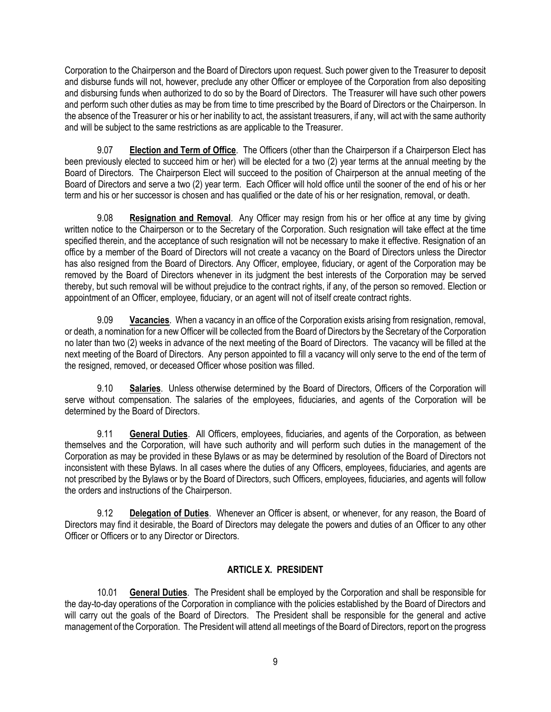Corporation to the Chairperson and the Board of Directors upon request. Such power given to the Treasurer to deposit and disburse funds will not, however, preclude any other Officer or employee of the Corporation from also depositing and disbursing funds when authorized to do so by the Board of Directors. The Treasurer will have such other powers and perform such other duties as may be from time to time prescribed by the Board of Directors or the Chairperson. In the absence of the Treasurer or his or her inability to act, the assistant treasurers, if any, will act with the same authority and will be subject to the same restrictions as are applicable to the Treasurer.

9.07 **Election and Term of Office**. The Officers (other than the Chairperson if a Chairperson Elect has been previously elected to succeed him or her) will be elected for a two (2) year terms at the annual meeting by the Board of Directors. The Chairperson Elect will succeed to the position of Chairperson at the annual meeting of the Board of Directors and serve a two (2) year term. Each Officer will hold office until the sooner of the end of his or her term and his or her successor is chosen and has qualified or the date of his or her resignation, removal, or death.

9.08 **Resignation and Removal**. Any Officer may resign from his or her office at any time by giving written notice to the Chairperson or to the Secretary of the Corporation. Such resignation will take effect at the time specified therein, and the acceptance of such resignation will not be necessary to make it effective. Resignation of an office by a member of the Board of Directors will not create a vacancy on the Board of Directors unless the Director has also resigned from the Board of Directors. Any Officer, employee, fiduciary, or agent of the Corporation may be removed by the Board of Directors whenever in its judgment the best interests of the Corporation may be served thereby, but such removal will be without prejudice to the contract rights, if any, of the person so removed. Election or appointment of an Officer, employee, fiduciary, or an agent will not of itself create contract rights.

9.09 **Vacancies**. When a vacancy in an office of the Corporation exists arising from resignation, removal, or death, a nomination for a new Officer will be collected from the Board of Directors by the Secretary of the Corporation no later than two (2) weeks in advance of the next meeting of the Board of Directors. The vacancy will be filled at the next meeting of the Board of Directors. Any person appointed to fill a vacancy will only serve to the end of the term of the resigned, removed, or deceased Officer whose position was filled.

9.10 **Salaries**. Unless otherwise determined by the Board of Directors, Officers of the Corporation will serve without compensation. The salaries of the employees, fiduciaries, and agents of the Corporation will be determined by the Board of Directors.

9.11 **General Duties**. All Officers, employees, fiduciaries, and agents of the Corporation, as between themselves and the Corporation, will have such authority and will perform such duties in the management of the Corporation as may be provided in these Bylaws or as may be determined by resolution of the Board of Directors not inconsistent with these Bylaws. In all cases where the duties of any Officers, employees, fiduciaries, and agents are not prescribed by the Bylaws or by the Board of Directors, such Officers, employees, fiduciaries, and agents will follow the orders and instructions of the Chairperson.

9.12 **Delegation of Duties**. Whenever an Officer is absent, or whenever, for any reason, the Board of Directors may find it desirable, the Board of Directors may delegate the powers and duties of an Officer to any other Officer or Officers or to any Director or Directors.

## **ARTICLE X. PRESIDENT**

10.01 **General Duties**. The President shall be employed by the Corporation and shall be responsible for the day-to-day operations of the Corporation in compliance with the policies established by the Board of Directors and will carry out the goals of the Board of Directors. The President shall be responsible for the general and active management of the Corporation. The President will attend all meetings of the Board of Directors, report on the progress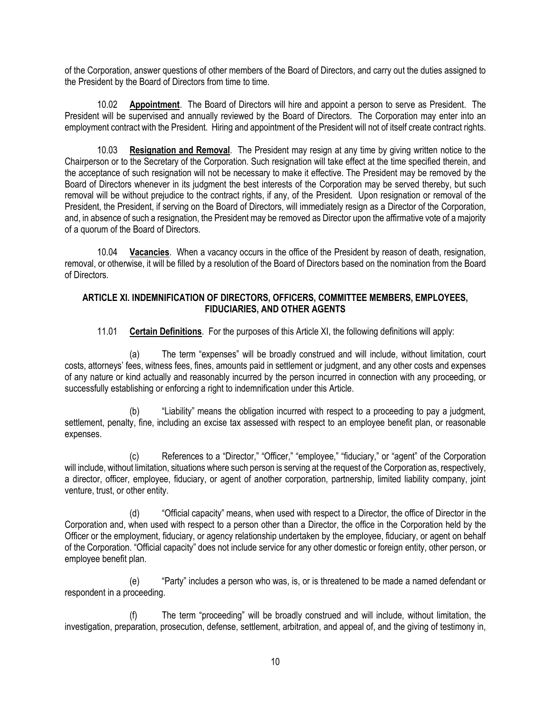of the Corporation, answer questions of other members of the Board of Directors, and carry out the duties assigned to the President by the Board of Directors from time to time.

10.02 **Appointment**. The Board of Directors will hire and appoint a person to serve as President. The President will be supervised and annually reviewed by the Board of Directors. The Corporation may enter into an employment contract with the President. Hiring and appointment of the President will not of itself create contract rights.

10.03 **Resignation and Removal**. The President may resign at any time by giving written notice to the Chairperson or to the Secretary of the Corporation. Such resignation will take effect at the time specified therein, and the acceptance of such resignation will not be necessary to make it effective. The President may be removed by the Board of Directors whenever in its judgment the best interests of the Corporation may be served thereby, but such removal will be without prejudice to the contract rights, if any, of the President. Upon resignation or removal of the President, the President, if serving on the Board of Directors, will immediately resign as a Director of the Corporation, and, in absence of such a resignation, the President may be removed as Director upon the affirmative vote of a majority of a quorum of the Board of Directors.

10.04 **Vacancies**. When a vacancy occurs in the office of the President by reason of death, resignation, removal, or otherwise, it will be filled by a resolution of the Board of Directors based on the nomination from the Board of Directors.

## **ARTICLE XI. INDEMNIFICATION OF DIRECTORS, OFFICERS, COMMITTEE MEMBERS, EMPLOYEES, FIDUCIARIES, AND OTHER AGENTS**

11.01 **Certain Definitions**. For the purposes of this Article XI, the following definitions will apply:

(a) The term "expenses" will be broadly construed and will include, without limitation, court costs, attorneys' fees, witness fees, fines, amounts paid in settlement or judgment, and any other costs and expenses of any nature or kind actually and reasonably incurred by the person incurred in connection with any proceeding, or successfully establishing or enforcing a right to indemnification under this Article.

(b) "Liability" means the obligation incurred with respect to a proceeding to pay a judgment, settlement, penalty, fine, including an excise tax assessed with respect to an employee benefit plan, or reasonable expenses.

(c) References to a "Director," "Officer," "employee," "fiduciary," or "agent" of the Corporation will include, without limitation, situations where such person is serving at the request of the Corporation as, respectively, a director, officer, employee, fiduciary, or agent of another corporation, partnership, limited liability company, joint venture, trust, or other entity.

(d) "Official capacity" means, when used with respect to a Director, the office of Director in the Corporation and, when used with respect to a person other than a Director, the office in the Corporation held by the Officer or the employment, fiduciary, or agency relationship undertaken by the employee, fiduciary, or agent on behalf of the Corporation. "Official capacity" does not include service for any other domestic or foreign entity, other person, or employee benefit plan.

(e) "Party" includes a person who was, is, or is threatened to be made a named defendant or respondent in a proceeding.

(f) The term "proceeding" will be broadly construed and will include, without limitation, the investigation, preparation, prosecution, defense, settlement, arbitration, and appeal of, and the giving of testimony in,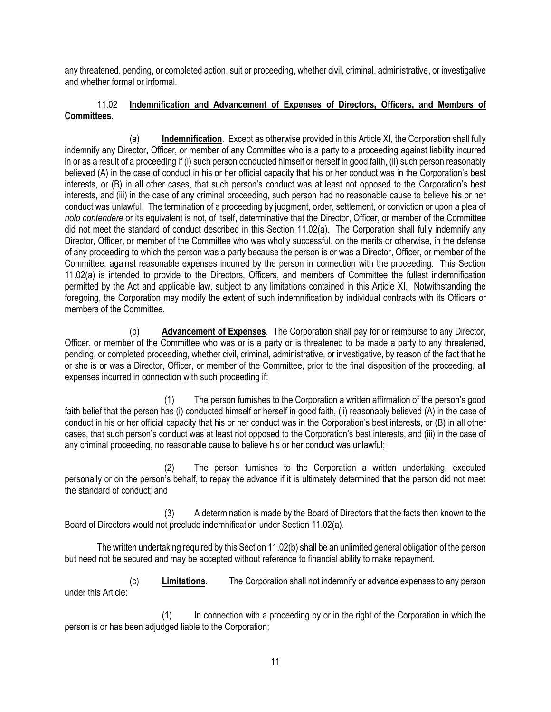any threatened, pending, or completed action, suit or proceeding, whether civil, criminal, administrative, or investigative and whether formal or informal.

## 11.02 **Indemnification and Advancement of Expenses of Directors, Officers, and Members of Committees**.

(a) **Indemnification**. Except as otherwise provided in this Article XI, the Corporation shall fully indemnify any Director, Officer, or member of any Committee who is a party to a proceeding against liability incurred in or as a result of a proceeding if (i) such person conducted himself or herself in good faith, (ii) such person reasonably believed (A) in the case of conduct in his or her official capacity that his or her conduct was in the Corporation's best interests, or (B) in all other cases, that such person's conduct was at least not opposed to the Corporation's best interests, and (iii) in the case of any criminal proceeding, such person had no reasonable cause to believe his or her conduct was unlawful. The termination of a proceeding by judgment, order, settlement, or conviction or upon a plea of *nolo contendere* or its equivalent is not, of itself, determinative that the Director, Officer, or member of the Committee did not meet the standard of conduct described in this Section 11.02(a). The Corporation shall fully indemnify any Director, Officer, or member of the Committee who was wholly successful, on the merits or otherwise, in the defense of any proceeding to which the person was a party because the person is or was a Director, Officer, or member of the Committee, against reasonable expenses incurred by the person in connection with the proceeding. This Section 11.02(a) is intended to provide to the Directors, Officers, and members of Committee the fullest indemnification permitted by the Act and applicable law, subject to any limitations contained in this Article XI. Notwithstanding the foregoing, the Corporation may modify the extent of such indemnification by individual contracts with its Officers or members of the Committee.

(b) **Advancement of Expenses**. The Corporation shall pay for or reimburse to any Director, Officer, or member of the Committee who was or is a party or is threatened to be made a party to any threatened, pending, or completed proceeding, whether civil, criminal, administrative, or investigative, by reason of the fact that he or she is or was a Director, Officer, or member of the Committee, prior to the final disposition of the proceeding, all expenses incurred in connection with such proceeding if:

(1) The person furnishes to the Corporation a written affirmation of the person's good faith belief that the person has (i) conducted himself or herself in good faith, (ii) reasonably believed (A) in the case of conduct in his or her official capacity that his or her conduct was in the Corporation's best interests, or (B) in all other cases, that such person's conduct was at least not opposed to the Corporation's best interests, and (iii) in the case of any criminal proceeding, no reasonable cause to believe his or her conduct was unlawful;

(2) The person furnishes to the Corporation a written undertaking, executed personally or on the person's behalf, to repay the advance if it is ultimately determined that the person did not meet the standard of conduct; and

(3) A determination is made by the Board of Directors that the facts then known to the Board of Directors would not preclude indemnification under Section 11.02(a).

The written undertaking required by this Section 11.02(b) shall be an unlimited general obligation of the person but need not be secured and may be accepted without reference to financial ability to make repayment.

(c) **Limitations**. The Corporation shall not indemnify or advance expenses to any person under this Article:

(1) In connection with a proceeding by or in the right of the Corporation in which the person is or has been adjudged liable to the Corporation;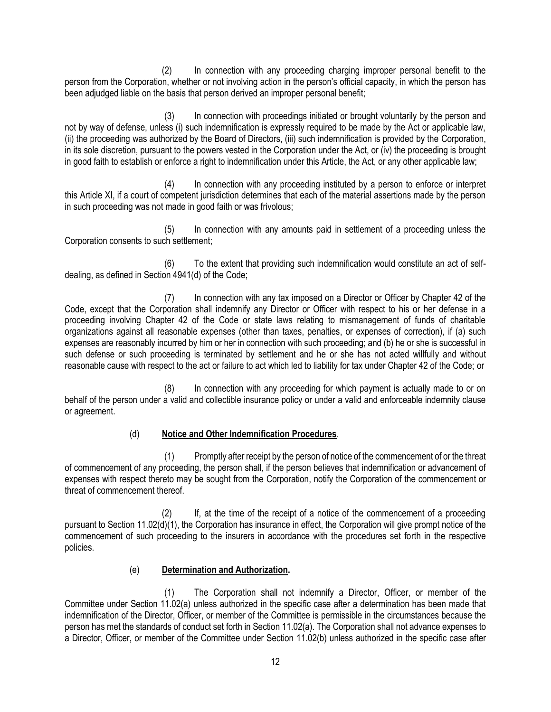(2) In connection with any proceeding charging improper personal benefit to the person from the Corporation, whether or not involving action in the person's official capacity, in which the person has been adjudged liable on the basis that person derived an improper personal benefit;

(3) In connection with proceedings initiated or brought voluntarily by the person and not by way of defense, unless (i) such indemnification is expressly required to be made by the Act or applicable law, (ii) the proceeding was authorized by the Board of Directors, (iii) such indemnification is provided by the Corporation, in its sole discretion, pursuant to the powers vested in the Corporation under the Act, or (iv) the proceeding is brought in good faith to establish or enforce a right to indemnification under this Article, the Act, or any other applicable law;

(4) In connection with any proceeding instituted by a person to enforce or interpret this Article XI, if a court of competent jurisdiction determines that each of the material assertions made by the person in such proceeding was not made in good faith or was frivolous;

(5) In connection with any amounts paid in settlement of a proceeding unless the Corporation consents to such settlement;

(6) To the extent that providing such indemnification would constitute an act of selfdealing, as defined in Section 4941(d) of the Code;

(7) In connection with any tax imposed on a Director or Officer by Chapter 42 of the Code, except that the Corporation shall indemnify any Director or Officer with respect to his or her defense in a proceeding involving Chapter 42 of the Code or state laws relating to mismanagement of funds of charitable organizations against all reasonable expenses (other than taxes, penalties, or expenses of correction), if (a) such expenses are reasonably incurred by him or her in connection with such proceeding; and (b) he or she is successful in such defense or such proceeding is terminated by settlement and he or she has not acted willfully and without reasonable cause with respect to the act or failure to act which led to liability for tax under Chapter 42 of the Code; or

(8) In connection with any proceeding for which payment is actually made to or on behalf of the person under a valid and collectible insurance policy or under a valid and enforceable indemnity clause or agreement.

## (d) **Notice and Other Indemnification Procedures**.

(1) Promptly after receipt by the person of notice of the commencement of or the threat of commencement of any proceeding, the person shall, if the person believes that indemnification or advancement of expenses with respect thereto may be sought from the Corporation, notify the Corporation of the commencement or threat of commencement thereof.

(2) If, at the time of the receipt of a notice of the commencement of a proceeding pursuant to Section 11.02(d)(1), the Corporation has insurance in effect, the Corporation will give prompt notice of the commencement of such proceeding to the insurers in accordance with the procedures set forth in the respective policies.

## (e) **Determination and Authorization.**

(1) The Corporation shall not indemnify a Director, Officer, or member of the Committee under Section 11.02(a) unless authorized in the specific case after a determination has been made that indemnification of the Director, Officer, or member of the Committee is permissible in the circumstances because the person has met the standards of conduct set forth in Section 11.02(a). The Corporation shall not advance expenses to a Director, Officer, or member of the Committee under Section 11.02(b) unless authorized in the specific case after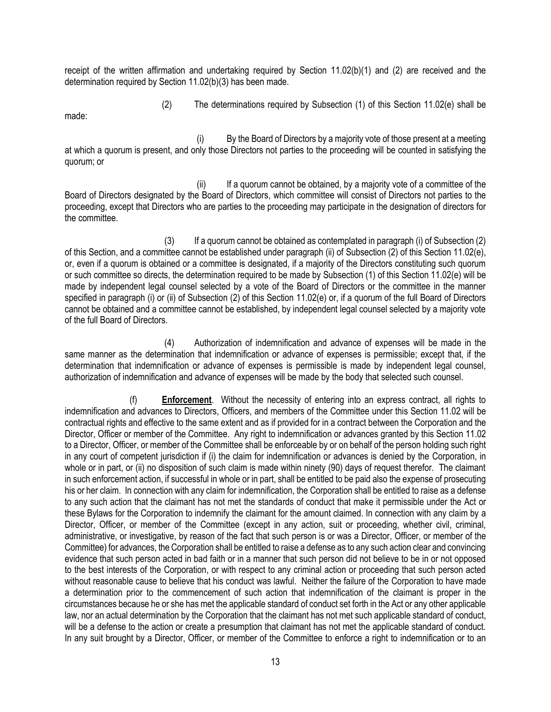receipt of the written affirmation and undertaking required by Section 11.02(b)(1) and (2) are received and the determination required by Section 11.02(b)(3) has been made.

made:

(2) The determinations required by Subsection (1) of this Section 11.02(e) shall be

(i) By the Board of Directors by a majority vote of those present at a meeting at which a quorum is present, and only those Directors not parties to the proceeding will be counted in satisfying the quorum; or

(ii) If a quorum cannot be obtained, by a majority vote of a committee of the Board of Directors designated by the Board of Directors, which committee will consist of Directors not parties to the proceeding, except that Directors who are parties to the proceeding may participate in the designation of directors for the committee.

(3) If a quorum cannot be obtained as contemplated in paragraph (i) of Subsection (2) of this Section, and a committee cannot be established under paragraph (ii) of Subsection (2) of this Section 11.02(e), or, even if a quorum is obtained or a committee is designated, if a majority of the Directors constituting such quorum or such committee so directs, the determination required to be made by Subsection (1) of this Section 11.02(e) will be made by independent legal counsel selected by a vote of the Board of Directors or the committee in the manner specified in paragraph (i) or (ii) of Subsection (2) of this Section 11.02(e) or, if a quorum of the full Board of Directors cannot be obtained and a committee cannot be established, by independent legal counsel selected by a majority vote of the full Board of Directors.

(4) Authorization of indemnification and advance of expenses will be made in the same manner as the determination that indemnification or advance of expenses is permissible; except that, if the determination that indemnification or advance of expenses is permissible is made by independent legal counsel, authorization of indemnification and advance of expenses will be made by the body that selected such counsel.

(f) **Enforcement**. Without the necessity of entering into an express contract, all rights to indemnification and advances to Directors, Officers, and members of the Committee under this Section 11.02 will be contractual rights and effective to the same extent and as if provided for in a contract between the Corporation and the Director, Officer or member of the Committee. Any right to indemnification or advances granted by this Section 11.02 to a Director, Officer, or member of the Committee shall be enforceable by or on behalf of the person holding such right in any court of competent jurisdiction if (i) the claim for indemnification or advances is denied by the Corporation, in whole or in part, or (ii) no disposition of such claim is made within ninety (90) days of request therefor. The claimant in such enforcement action, if successful in whole or in part, shall be entitled to be paid also the expense of prosecuting his or her claim. In connection with any claim for indemnification, the Corporation shall be entitled to raise as a defense to any such action that the claimant has not met the standards of conduct that make it permissible under the Act or these Bylaws for the Corporation to indemnify the claimant for the amount claimed. In connection with any claim by a Director, Officer, or member of the Committee (except in any action, suit or proceeding, whether civil, criminal, administrative, or investigative, by reason of the fact that such person is or was a Director, Officer, or member of the Committee) for advances, the Corporation shall be entitled to raise a defense as to any such action clear and convincing evidence that such person acted in bad faith or in a manner that such person did not believe to be in or not opposed to the best interests of the Corporation, or with respect to any criminal action or proceeding that such person acted without reasonable cause to believe that his conduct was lawful. Neither the failure of the Corporation to have made a determination prior to the commencement of such action that indemnification of the claimant is proper in the circumstances because he or she has met the applicable standard of conduct set forth in the Act or any other applicable law, nor an actual determination by the Corporation that the claimant has not met such applicable standard of conduct, will be a defense to the action or create a presumption that claimant has not met the applicable standard of conduct. In any suit brought by a Director, Officer, or member of the Committee to enforce a right to indemnification or to an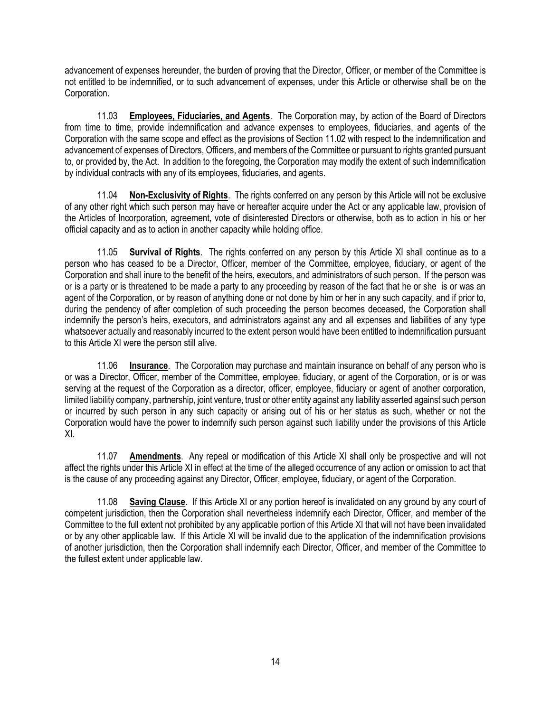advancement of expenses hereunder, the burden of proving that the Director, Officer, or member of the Committee is not entitled to be indemnified, or to such advancement of expenses, under this Article or otherwise shall be on the Corporation.

11.03 **Employees, Fiduciaries, and Agents**. The Corporation may, by action of the Board of Directors from time to time, provide indemnification and advance expenses to employees, fiduciaries, and agents of the Corporation with the same scope and effect as the provisions of Section 11.02 with respect to the indemnification and advancement of expenses of Directors, Officers, and members of the Committee or pursuant to rights granted pursuant to, or provided by, the Act. In addition to the foregoing, the Corporation may modify the extent of such indemnification by individual contracts with any of its employees, fiduciaries, and agents.

11.04 **Non-Exclusivity of Rights**. The rights conferred on any person by this Article will not be exclusive of any other right which such person may have or hereafter acquire under the Act or any applicable law, provision of the Articles of Incorporation, agreement, vote of disinterested Directors or otherwise, both as to action in his or her official capacity and as to action in another capacity while holding office.

11.05 **Survival of Rights**. The rights conferred on any person by this Article XI shall continue as to a person who has ceased to be a Director, Officer, member of the Committee, employee, fiduciary, or agent of the Corporation and shall inure to the benefit of the heirs, executors, and administrators of such person. If the person was or is a party or is threatened to be made a party to any proceeding by reason of the fact that he or she is or was an agent of the Corporation, or by reason of anything done or not done by him or her in any such capacity, and if prior to, during the pendency of after completion of such proceeding the person becomes deceased, the Corporation shall indemnify the person's heirs, executors, and administrators against any and all expenses and liabilities of any type whatsoever actually and reasonably incurred to the extent person would have been entitled to indemnification pursuant to this Article XI were the person still alive.

11.06 **Insurance**. The Corporation may purchase and maintain insurance on behalf of any person who is or was a Director, Officer, member of the Committee, employee, fiduciary, or agent of the Corporation, or is or was serving at the request of the Corporation as a director, officer, employee, fiduciary or agent of another corporation, limited liability company, partnership, joint venture, trust or other entity against any liability asserted against such person or incurred by such person in any such capacity or arising out of his or her status as such, whether or not the Corporation would have the power to indemnify such person against such liability under the provisions of this Article XI.

11.07 **Amendments**. Any repeal or modification of this Article XI shall only be prospective and will not affect the rights under this Article XI in effect at the time of the alleged occurrence of any action or omission to act that is the cause of any proceeding against any Director, Officer, employee, fiduciary, or agent of the Corporation.

11.08 **Saving Clause**. If this Article XI or any portion hereof is invalidated on any ground by any court of competent jurisdiction, then the Corporation shall nevertheless indemnify each Director, Officer, and member of the Committee to the full extent not prohibited by any applicable portion of this Article XI that will not have been invalidated or by any other applicable law. If this Article XI will be invalid due to the application of the indemnification provisions of another jurisdiction, then the Corporation shall indemnify each Director, Officer, and member of the Committee to the fullest extent under applicable law.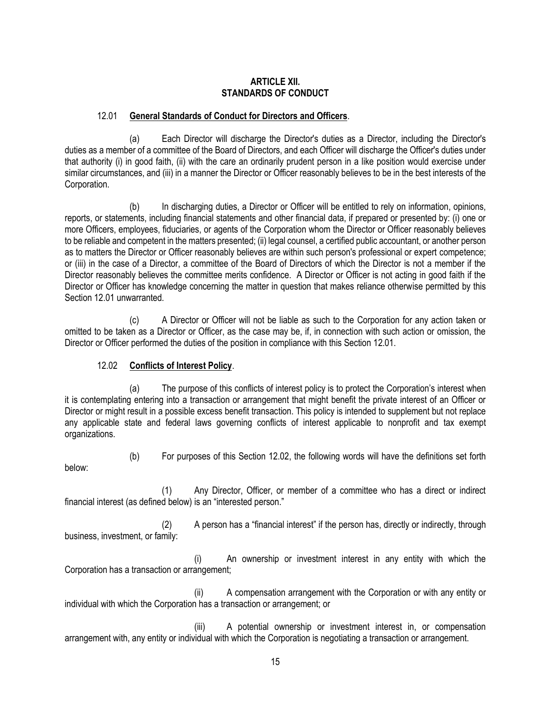#### **ARTICLE XII. STANDARDS OF CONDUCT**

## 12.01 **General Standards of Conduct for Directors and Officers**.

(a) Each Director will discharge the Director's duties as a Director, including the Director's duties as a member of a committee of the Board of Directors, and each Officer will discharge the Officer's duties under that authority (i) in good faith, (ii) with the care an ordinarily prudent person in a like position would exercise under similar circumstances, and (iii) in a manner the Director or Officer reasonably believes to be in the best interests of the Corporation.

(b) In discharging duties, a Director or Officer will be entitled to rely on information, opinions, reports, or statements, including financial statements and other financial data, if prepared or presented by: (i) one or more Officers, employees, fiduciaries, or agents of the Corporation whom the Director or Officer reasonably believes to be reliable and competent in the matters presented; (ii) legal counsel, a certified public accountant, or another person as to matters the Director or Officer reasonably believes are within such person's professional or expert competence; or (iii) in the case of a Director, a committee of the Board of Directors of which the Director is not a member if the Director reasonably believes the committee merits confidence. A Director or Officer is not acting in good faith if the Director or Officer has knowledge concerning the matter in question that makes reliance otherwise permitted by this Section 12.01 unwarranted.

(c) A Director or Officer will not be liable as such to the Corporation for any action taken or omitted to be taken as a Director or Officer, as the case may be, if, in connection with such action or omission, the Director or Officer performed the duties of the position in compliance with this Section 12.01.

## 12.02 **Conflicts of Interest Policy**.

(a) The purpose of this conflicts of interest policy is to protect the Corporation's interest when it is contemplating entering into a transaction or arrangement that might benefit the private interest of an Officer or Director or might result in a possible excess benefit transaction. This policy is intended to supplement but not replace any applicable state and federal laws governing conflicts of interest applicable to nonprofit and tax exempt organizations.

(b) For purposes of this Section 12.02, the following words will have the definitions set forth below:

(1) Any Director, Officer, or member of a committee who has a direct or indirect financial interest (as defined below) is an "interested person."

(2) A person has a "financial interest" if the person has, directly or indirectly, through business, investment, or family:

(i) An ownership or investment interest in any entity with which the Corporation has a transaction or arrangement;

(ii) A compensation arrangement with the Corporation or with any entity or individual with which the Corporation has a transaction or arrangement; or

(iii) A potential ownership or investment interest in, or compensation arrangement with, any entity or individual with which the Corporation is negotiating a transaction or arrangement.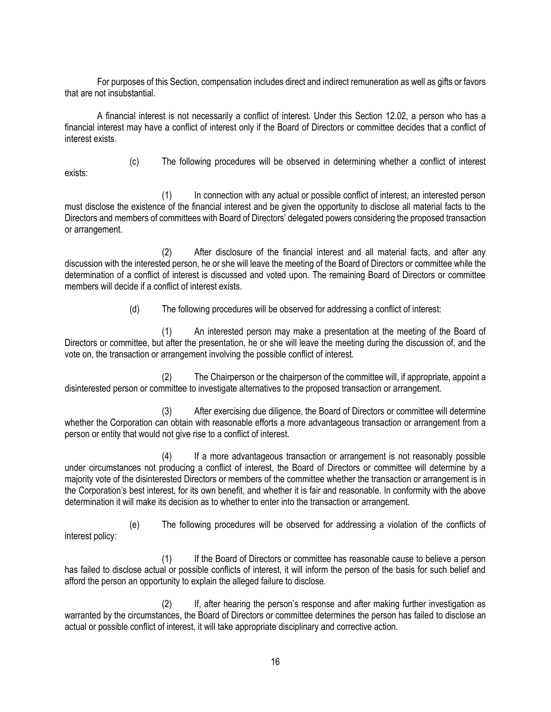For purposes of this Section, compensation includes direct and indirect remuneration as well as gifts or favors that are not insubstantial.

A financial interest is not necessarily a conflict of interest. Under this Section 12.02, a person who has a financial interest may have a conflict of interest only if the Board of Directors or committee decides that a conflict of interest exists.

(c) The following procedures will be observed in determining whether a conflict of interest

exists:

(1) In connection with any actual or possible conflict of interest, an interested person must disclose the existence of the financial interest and be given the opportunity to disclose all material facts to the Directors and members of committees with Board of Directors' delegated powers considering the proposed transaction or arrangement.

(2) After disclosure of the financial interest and all material facts, and after any discussion with the interested person, he or she will leave the meeting of the Board of Directors or committee while the determination of a conflict of interest is discussed and voted upon. The remaining Board of Directors or committee members will decide if a conflict of interest exists.

(d) The following procedures will be observed for addressing a conflict of interest:

(1) An interested person may make a presentation at the meeting of the Board of Directors or committee, but after the presentation, he or she will leave the meeting during the discussion of, and the vote on, the transaction or arrangement involving the possible conflict of interest.

(2) The Chairperson or the chairperson of the committee will, if appropriate, appoint a disinterested person or committee to investigate alternatives to the proposed transaction or arrangement.

(3) After exercising due diligence, the Board of Directors or committee will determine whether the Corporation can obtain with reasonable efforts a more advantageous transaction or arrangement from a person or entity that would not give rise to a conflict of interest.

(4) If a more advantageous transaction or arrangement is not reasonably possible under circumstances not producing a conflict of interest, the Board of Directors or committee will determine by a majority vote of the disinterested Directors or members of the committee whether the transaction or arrangement is in the Corporation's best interest, for its own benefit, and whether it is fair and reasonable. In conformity with the above determination it will make its decision as to whether to enter into the transaction or arrangement.

(e) The following procedures will be observed for addressing a violation of the conflicts of interest policy:

(1) If the Board of Directors or committee has reasonable cause to believe a person has failed to disclose actual or possible conflicts of interest, it will inform the person of the basis for such belief and afford the person an opportunity to explain the alleged failure to disclose.

(2) If, after hearing the person's response and after making further investigation as warranted by the circumstances, the Board of Directors or committee determines the person has failed to disclose an actual or possible conflict of interest, it will take appropriate disciplinary and corrective action.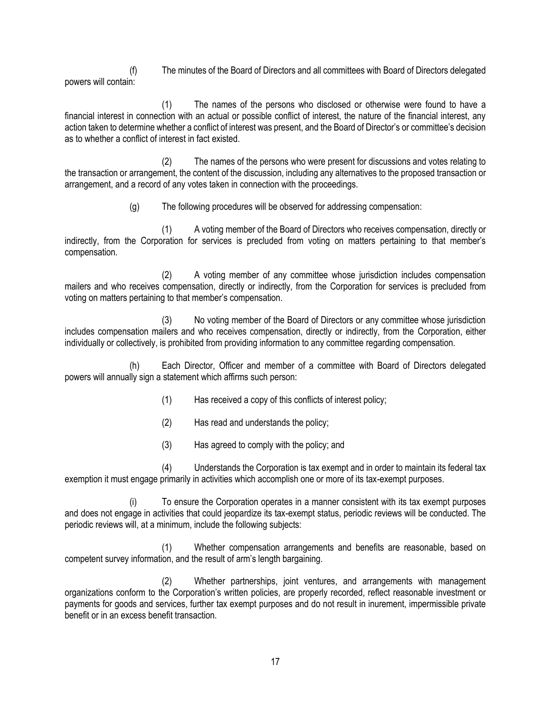(f) The minutes of the Board of Directors and all committees with Board of Directors delegated powers will contain:

(1) The names of the persons who disclosed or otherwise were found to have a financial interest in connection with an actual or possible conflict of interest, the nature of the financial interest, any action taken to determine whether a conflict of interest was present, and the Board of Director's or committee's decision as to whether a conflict of interest in fact existed.

(2) The names of the persons who were present for discussions and votes relating to the transaction or arrangement, the content of the discussion, including any alternatives to the proposed transaction or arrangement, and a record of any votes taken in connection with the proceedings.

(g) The following procedures will be observed for addressing compensation:

(1) A voting member of the Board of Directors who receives compensation, directly or indirectly, from the Corporation for services is precluded from voting on matters pertaining to that member's compensation.

(2) A voting member of any committee whose jurisdiction includes compensation mailers and who receives compensation, directly or indirectly, from the Corporation for services is precluded from voting on matters pertaining to that member's compensation.

(3) No voting member of the Board of Directors or any committee whose jurisdiction includes compensation mailers and who receives compensation, directly or indirectly, from the Corporation, either individually or collectively, is prohibited from providing information to any committee regarding compensation.

(h) Each Director, Officer and member of a committee with Board of Directors delegated powers will annually sign a statement which affirms such person:

- (1) Has received a copy of this conflicts of interest policy;
- (2) Has read and understands the policy;
- (3) Has agreed to comply with the policy; and

(4) Understands the Corporation is tax exempt and in order to maintain its federal tax exemption it must engage primarily in activities which accomplish one or more of its tax-exempt purposes.

(i) To ensure the Corporation operates in a manner consistent with its tax exempt purposes and does not engage in activities that could jeopardize its tax-exempt status, periodic reviews will be conducted. The periodic reviews will, at a minimum, include the following subjects:

Whether compensation arrangements and benefits are reasonable, based on competent survey information, and the result of arm's length bargaining.

(2) Whether partnerships, joint ventures, and arrangements with management organizations conform to the Corporation's written policies, are properly recorded, reflect reasonable investment or payments for goods and services, further tax exempt purposes and do not result in inurement, impermissible private benefit or in an excess benefit transaction.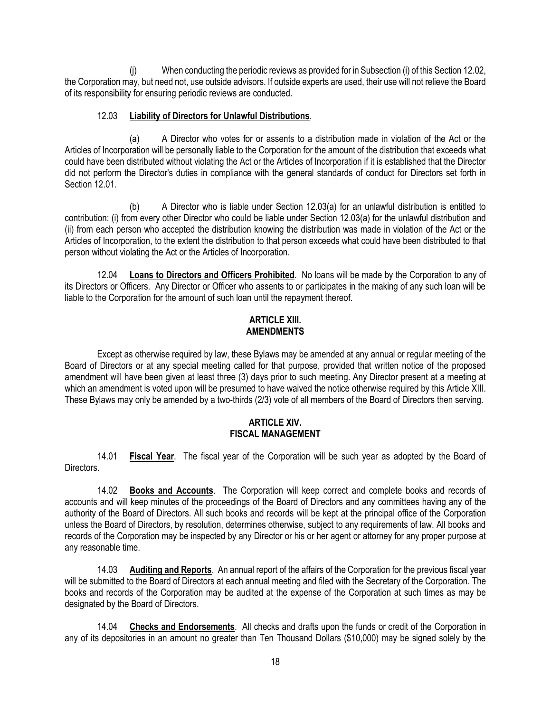(j) When conducting the periodic reviews as provided for in Subsection (i) of this Section 12.02, the Corporation may, but need not, use outside advisors. If outside experts are used, their use will not relieve the Board of its responsibility for ensuring periodic reviews are conducted.

## 12.03 **Liability of Directors for Unlawful Distributions**.

(a) A Director who votes for or assents to a distribution made in violation of the Act or the Articles of Incorporation will be personally liable to the Corporation for the amount of the distribution that exceeds what could have been distributed without violating the Act or the Articles of Incorporation if it is established that the Director did not perform the Director's duties in compliance with the general standards of conduct for Directors set forth in Section 12.01.

(b) A Director who is liable under Section 12.03(a) for an unlawful distribution is entitled to contribution: (i) from every other Director who could be liable under Section 12.03(a) for the unlawful distribution and (ii) from each person who accepted the distribution knowing the distribution was made in violation of the Act or the Articles of Incorporation, to the extent the distribution to that person exceeds what could have been distributed to that person without violating the Act or the Articles of Incorporation.

12.04 **Loans to Directors and Officers Prohibited**. No loans will be made by the Corporation to any of its Directors or Officers. Any Director or Officer who assents to or participates in the making of any such loan will be liable to the Corporation for the amount of such loan until the repayment thereof.

## **ARTICLE XIII. AMENDMENTS**

Except as otherwise required by law, these Bylaws may be amended at any annual or regular meeting of the Board of Directors or at any special meeting called for that purpose, provided that written notice of the proposed amendment will have been given at least three (3) days prior to such meeting. Any Director present at a meeting at which an amendment is voted upon will be presumed to have waived the notice otherwise required by this Article XIII. These Bylaws may only be amended by a two-thirds (2/3) vote of all members of the Board of Directors then serving.

#### **ARTICLE XIV. FISCAL MANAGEMENT**

14.01 **Fiscal Year**. The fiscal year of the Corporation will be such year as adopted by the Board of Directors.

14.02 **Books and Accounts**. The Corporation will keep correct and complete books and records of accounts and will keep minutes of the proceedings of the Board of Directors and any committees having any of the authority of the Board of Directors. All such books and records will be kept at the principal office of the Corporation unless the Board of Directors, by resolution, determines otherwise, subject to any requirements of law. All books and records of the Corporation may be inspected by any Director or his or her agent or attorney for any proper purpose at any reasonable time.

14.03 **Auditing and Reports**. An annual report of the affairs of the Corporation for the previous fiscal year will be submitted to the Board of Directors at each annual meeting and filed with the Secretary of the Corporation. The books and records of the Corporation may be audited at the expense of the Corporation at such times as may be designated by the Board of Directors.

14.04 **Checks and Endorsements**. All checks and drafts upon the funds or credit of the Corporation in any of its depositories in an amount no greater than Ten Thousand Dollars (\$10,000) may be signed solely by the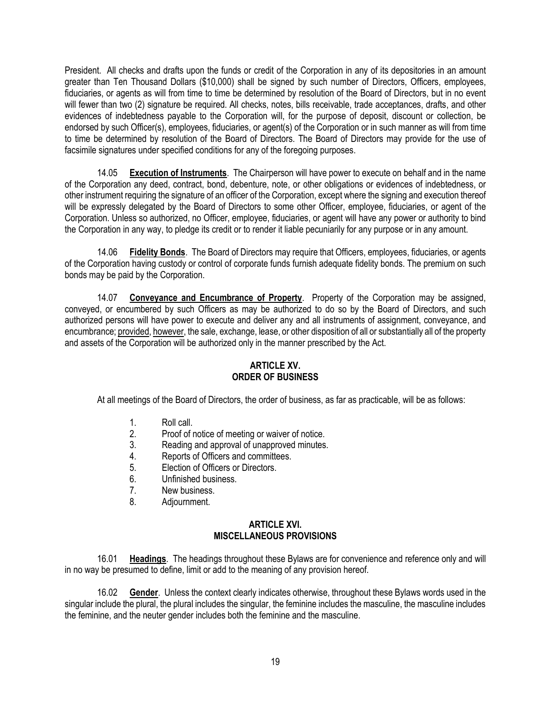President. All checks and drafts upon the funds or credit of the Corporation in any of its depositories in an amount greater than Ten Thousand Dollars (\$10,000) shall be signed by such number of Directors, Officers, employees, fiduciaries, or agents as will from time to time be determined by resolution of the Board of Directors, but in no event will fewer than two (2) signature be required. All checks, notes, bills receivable, trade acceptances, drafts, and other evidences of indebtedness payable to the Corporation will, for the purpose of deposit, discount or collection, be endorsed by such Officer(s), employees, fiduciaries, or agent(s) of the Corporation or in such manner as will from time to time be determined by resolution of the Board of Directors. The Board of Directors may provide for the use of facsimile signatures under specified conditions for any of the foregoing purposes.

14.05 **Execution of Instruments**. The Chairperson will have power to execute on behalf and in the name of the Corporation any deed, contract, bond, debenture, note, or other obligations or evidences of indebtedness, or other instrument requiring the signature of an officer of the Corporation, except where the signing and execution thereof will be expressly delegated by the Board of Directors to some other Officer, employee, fiduciaries, or agent of the Corporation. Unless so authorized, no Officer, employee, fiduciaries, or agent will have any power or authority to bind the Corporation in any way, to pledge its credit or to render it liable pecuniarily for any purpose or in any amount.

14.06 **Fidelity Bonds**. The Board of Directors may require that Officers, employees, fiduciaries, or agents of the Corporation having custody or control of corporate funds furnish adequate fidelity bonds. The premium on such bonds may be paid by the Corporation.

14.07 **Conveyance and Encumbrance of Property**. Property of the Corporation may be assigned, conveyed, or encumbered by such Officers as may be authorized to do so by the Board of Directors, and such authorized persons will have power to execute and deliver any and all instruments of assignment, conveyance, and encumbrance; provided, however, the sale, exchange, lease, or other disposition of all or substantially all of the property and assets of the Corporation will be authorized only in the manner prescribed by the Act.

### **ARTICLE XV. ORDER OF BUSINESS**

At all meetings of the Board of Directors, the order of business, as far as practicable, will be as follows:

- 1. Roll call.
- 2. Proof of notice of meeting or waiver of notice.<br>3. Reading and approval of unapproved minutes.
- Reading and approval of unapproved minutes.
- 4. Reports of Officers and committees.
- 5. Election of Officers or Directors.
- 6. Unfinished business.
- 7. New business.
- 8. Adjournment.

#### **ARTICLE XVI. MISCELLANEOUS PROVISIONS**

16.01 **Headings**. The headings throughout these Bylaws are for convenience and reference only and will in no way be presumed to define, limit or add to the meaning of any provision hereof.

16.02 **Gender**. Unless the context clearly indicates otherwise, throughout these Bylaws words used in the singular include the plural, the plural includes the singular, the feminine includes the masculine, the masculine includes the feminine, and the neuter gender includes both the feminine and the masculine.